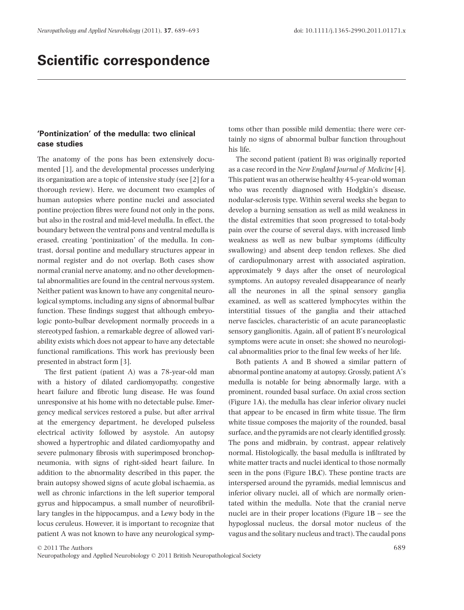# **Scientific correspondence\_ 689..693**

### **'Pontinization' of the medulla: two clinical case studies**

The anatomy of the pons has been extensively documented [1], and the developmental processes underlying its organization are a topic of intensive study (see [2] for a thorough review). Here, we document two examples of human autopsies where pontine nuclei and associated pontine projection fibres were found not only in the pons, but also in the rostral and mid-level medulla. In effect, the boundary between the ventral pons and ventral medulla is erased, creating 'pontinization' of the medulla. In contrast, dorsal pontine and medullary structures appear in normal register and do not overlap. Both cases show normal cranial nerve anatomy, and no other developmental abnormalities are found in the central nervous system. Neither patient was known to have any congenital neurological symptoms, including any signs of abnormal bulbar function. These findings suggest that although embryologic ponto-bulbar development normally proceeds in a stereotyped fashion, a remarkable degree of allowed variability exists which does not appear to have any detectable functional ramifications. This work has previously been presented in abstract form [3].

The first patient (patient A) was a 78-year-old man with a history of dilated cardiomyopathy, congestive heart failure and fibrotic lung disease. He was found unresponsive at his home with no detectable pulse. Emergency medical services restored a pulse, but after arrival at the emergency department, he developed pulseless electrical activity followed by asystole. An autopsy showed a hypertrophic and dilated cardiomyopathy and severe pulmonary fibrosis with superimposed bronchopneumonia, with signs of right-sided heart failure. In addition to the abnormality described in this paper, the brain autopsy showed signs of acute global ischaemia, as well as chronic infarctions in the left superior temporal gyrus and hippocampus, a small number of neurofibrillary tangles in the hippocampus, and a Lewy body in the locus ceruleus. However, it is important to recognize that patient A was not known to have any neurological symptoms other than possible mild dementia; there were certainly no signs of abnormal bulbar function throughout his life.

The second patient (patient B) was originally reported as a case record in the *New England Journal of Medicine* [4]. This patient was an otherwise healthy 45-year-old woman who was recently diagnosed with Hodgkin's disease, nodular-sclerosis type. Within several weeks she began to develop a burning sensation as well as mild weakness in the distal extremities that soon progressed to total-body pain over the course of several days, with increased limb weakness as well as new bulbar symptoms (difficulty swallowing) and absent deep tendon reflexes. She died of cardiopulmonary arrest with associated aspiration, approximately 9 days after the onset of neurological symptoms. An autopsy revealed disappearance of nearly all the neurones in all the spinal sensory ganglia examined, as well as scattered lymphocytes within the interstitial tissues of the ganglia and their attached nerve fascicles, characteristic of an acute paraneoplastic sensory ganglionitis. Again, all of patient B's neurological symptoms were acute in onset; she showed no neurological abnormalities prior to the final few weeks of her life.

Both patients A and B showed a similar pattern of abnormal pontine anatomy at autopsy. Grossly, patient A's medulla is notable for being abnormally large, with a prominent, rounded basal surface. On axial cross section (Figure 1**A**), the medulla has clear inferior olivary nuclei that appear to be encased in firm white tissue. The firm white tissue composes the majority of the rounded, basal surface, and the pyramids are not clearly identified grossly. The pons and midbrain, by contrast, appear relatively normal. Histologically, the basal medulla is infiltrated by white matter tracts and nuclei identical to those normally seen in the pons (Figure 1**B,C**). These pontine tracts are interspersed around the pyramids, medial lemniscus and inferior olivary nuclei, all of which are normally orientated within the medulla. Note that the cranial nerve nuclei are in their proper locations (Figure 1**B** – see the hypoglossal nucleus, the dorsal motor nucleus of the vagus and the solitary nucleus and tract). The caudal pons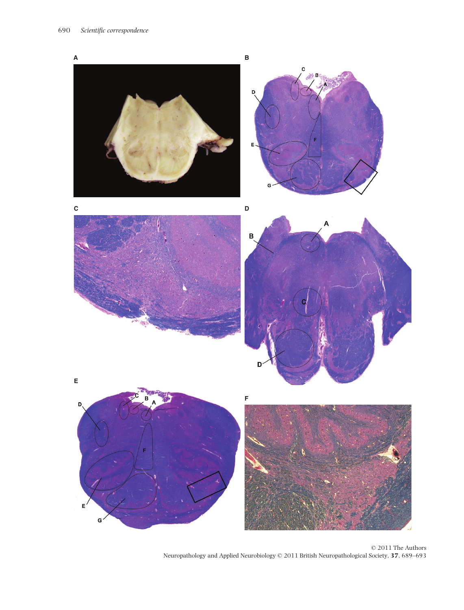

© 2011 The Authors Neuropathology and Applied Neurobiology © 2011 British Neuropathological Society, **37**, 689–693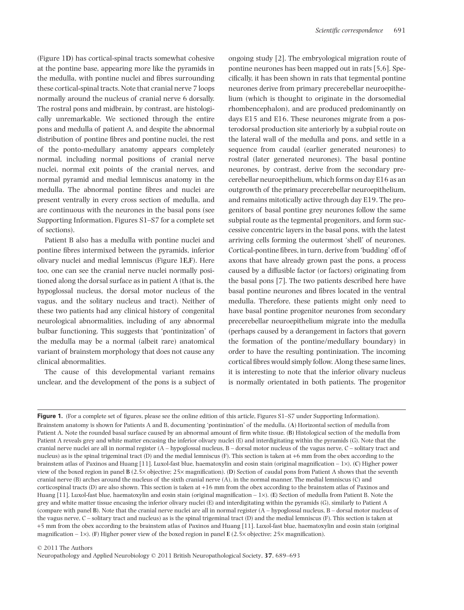(Figure 1**D**) has cortical-spinal tracts somewhat cohesive at the pontine base, appearing more like the pyramids in the medulla, with pontine nuclei and fibres surrounding these cortical-spinal tracts. Note that cranial nerve 7 loops normally around the nucleus of cranial nerve 6 dorsally. The rostral pons and midbrain, by contrast, are histologically unremarkable. We sectioned through the entire pons and medulla of patient A, and despite the abnormal distribution of pontine fibres and pontine nuclei, the rest of the ponto-medullary anatomy appears completely normal, including normal positions of cranial nerve nuclei, normal exit points of the cranial nerves, and normal pyramid and medial lemniscus anatomy in the medulla. The abnormal pontine fibres and nuclei are present ventrally in every cross section of medulla, and are continuous with the neurones in the basal pons (see Supporting Information, Figures S1–S7 for a complete set of sections).

Patient B also has a medulla with pontine nuclei and pontine fibres intermixed between the pyramids, inferior olivary nuclei and medial lemniscus (Figure 1**E,F**). Here too, one can see the cranial nerve nuclei normally positioned along the dorsal surface as in patient A (that is, the hypoglossal nucleus, the dorsal motor nucleus of the vagus, and the solitary nucleus and tract). Neither of these two patients had any clinical history of congenital neurological abnormalities, including of any abnormal bulbar functioning. This suggests that 'pontinization' of the medulla may be a normal (albeit rare) anatomical variant of brainstem morphology that does not cause any clinical abnormalities.

The cause of this developmental variant remains unclear, and the development of the pons is a subject of

ongoing study [2]. The embryological migration route of pontine neurones has been mapped out in rats [5,6]. Specifically, it has been shown in rats that tegmental pontine neurones derive from primary precerebellar neuroepithelium (which is thought to originate in the dorsomedial rhombencephalon), and are produced predominantly on days E15 and E16. These neurones migrate from a posterodorsal production site anteriorly by a subpial route on the lateral wall of the medulla and pons, and settle in a sequence from caudal (earlier generated neurones) to rostral (later generated neurones). The basal pontine neurones, by contrast, derive from the secondary precerebellar neuroepithelium, which forms on day E16 as an outgrowth of the primary precerebellar neuroepithelium, and remains mitotically active through day E19. The progenitors of basal pontine grey neurones follow the same subpial route as the tegmental progenitors, and form successive concentric layers in the basal pons, with the latest arriving cells forming the outermost 'shell' of neurones. Cortical-pontine fibres, in turn, derive from 'budding' off of axons that have already grown past the pons, a process caused by a diffusible factor (or factors) originating from the basal pons [7]. The two patients described here have basal pontine neurones and fibres located in the ventral medulla. Therefore, these patients might only need to have basal pontine progenitor neurones from secondary precerebellar neuroepithelium migrate into the medulla (perhaps caused by a derangement in factors that govern the formation of the pontine/medullary boundary) in order to have the resulting pontinization. The incoming cortical fibres would simply follow. Along these same lines, it is interesting to note that the inferior olivary nucleus is normally orientated in both patients. The progenitor

© 2011 The Authors

Neuropathology and Applied Neurobiology © 2011 British Neuropathological Society, **37**, 689–693

**Figure 1.** (For a complete set of figures, please see the online edition of this article, Figures S1–S7 under Supporting Information). Brainstem anatomy is shown for Patients A and B, documenting 'pontinization' of the medulla. (**A**) Horizontal section of medulla from Patient A. Note the rounded basal surface caused by an abnormal amount of firm white tissue. (**B**) Histological section of the medulla from Patient A reveals grey and white matter encasing the inferior olivary nuclei (E) and interdigitating within the pyramids (G). Note that the cranial nerve nuclei are all in normal register (A – hypoglossal nucleus, B – dorsal motor nucleus of the vagus nerve, C – solitary tract and nucleus) as is the spinal trigeminal tract (D) and the medial lemniscus (F). This section is taken at +6 mm from the obex according to the brainstem atlas of Paxinos and Huang [11]. Luxol-fast blue, haematoxylin and eosin stain (original magnification – 1¥). (**C**) Higher power view of the boxed region in panel **B** (2.5¥ objective; 25¥ magnification). (**D**) Section of caudal pons from Patient A shows that the seventh cranial nerve  $(B)$  arches around the nucleus of the sixth cranial nerve  $(A)$ , in the normal manner. The medial lemniscus  $(C)$  and corticospinal tracts (D) are also shown. This section is taken at +16 mm from the obex according to the brainstem atlas of Paxinos and Huang [11]. Luxol-fast blue, haematoxylin and eosin stain (original magnification – 1×). (E) Section of medulla from Patient B. Note the grey and white matter tissue encasing the inferior olivary nuclei (E) and interdigitating within the pyramids (G), similarly to Patient A (compare with panel **B**). Note that the cranial nerve nuclei are all in normal register (A – hypoglossal nucleus, B – dorsal motor nucleus of the vagus nerve, C – solitary tract and nucleus) as is the spinal trigeminal tract (D) and the medial lemniscus (F). This section is taken at +5 mm from the obex according to the brainstem atlas of Paxinos and Huang [11]. Luxol-fast blue, haematoxylin and eosin stain (original magnification – 1 $\times$ ). (**F**) Higher power view of the boxed region in panel **E** (2.5 $\times$  objective; 25 $\times$  magnification).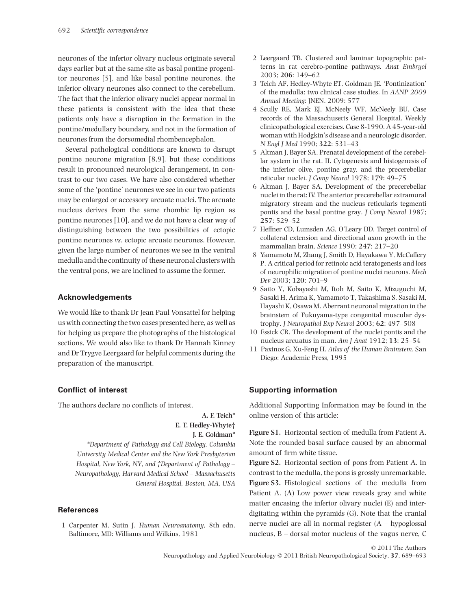neurones of the inferior olivary nucleus originate several days earlier but at the same site as basal pontine progenitor neurones [5], and like basal pontine neurones, the inferior olivary neurones also connect to the cerebellum. The fact that the inferior olivary nuclei appear normal in these patients is consistent with the idea that these patients only have a disruption in the formation in the pontine/medullary boundary, and not in the formation of neurones from the dorsomedial rhombencephalon.

Several pathological conditions are known to disrupt pontine neurone migration [8,9], but these conditions result in pronounced neurological derangement, in contrast to our two cases. We have also considered whether some of the 'pontine' neurones we see in our two patients may be enlarged or accessory arcuate nuclei. The arcuate nucleus derives from the same rhombic lip region as pontine neurones [10], and we do not have a clear way of distinguishing between the two possibilities of ectopic pontine neurones *vs.* ectopic arcuate neurones. However, given the large number of neurones we see in the ventral medulla and the continuity of these neuronal clusters with the ventral pons, we are inclined to assume the former.

### **Acknowledgements**

We would like to thank Dr Jean Paul Vonsattel for helping us with connecting the two cases presented here, as well as for helping us prepare the photographs of the histological sections. We would also like to thank Dr Hannah Kinney and Dr Trygve Leergaard for helpful comments during the preparation of the manuscript.

### **Conflict of interest**

The authors declare no conflicts of interest.

**A. F. Teich\* E. T. Hedley-Whyte† J. E. Goldman\***

*\*Department of Pathology and Cell Biology, Columbia University Medical Center and the New York Presbyterian Hospital, New York, NY, and †Department of Pathology – Neuropathology, Harvard Medical School – Massachusetts General Hospital, Boston, MA, USA*

#### **References**

1 Carpenter M, Sutin J. *Human Neuroanatomy*, 8th edn. Baltimore, MD: Williams and Wilkins, 1981

- 2 Leergaard TB. Clustered and laminar topographic patterns in rat cerebro-pontine pathways. *Anat Embryol* 2003; **206**: 149–62
- 3 Teich AF, Hedley-Whyte ET, Goldman JE. 'Pontinization' of the medulla: two clinical case studies. In *AANP 2009 Annual Meeting*: JNEN. 2009: 577
- 4 Scully RE, Mark EJ, McNeely WF, McNeely BU. Case records of the Massachusetts General Hospital. Weekly clinicopathological exercises. Case 8-1990. A 45-year-old woman with Hodgkin's disease and a neurologic disorder. *N Engl J Med* 1990; **322**: 531–43
- 5 Altman J, Bayer SA. Prenatal development of the cerebellar system in the rat. II. Cytogenesis and histogenesis of the inferior olive, pontine gray, and the precerebellar reticular nuclei. *J Comp Neurol* 1978; **179**: 49–75
- 6 Altman J, Bayer SA. Development of the precerebellar nuclei in the rat: IV. The anterior precerebellar extramural migratory stream and the nucleus reticularis tegmenti pontis and the basal pontine gray. *J Comp Neurol* 1987; **257**: 529–52
- 7 Heffner CD, Lumsden AG, O'Leary DD. Target control of collateral extension and directional axon growth in the mammalian brain. *Science* 1990; **247**: 217–20
- 8 Yamamoto M, Zhang J, Smith D, Hayakawa Y, McCaffery P. A critical period for retinoic acid teratogenesis and loss of neurophilic migration of pontine nuclei neurons. *Mech Dev* 2003; **120**: 701–9
- 9 Saito Y, Kobayashi M, Itoh M, Saito K, Mizuguchi M, Sasaki H, Arima K, Yamamoto T, Takashima S, Sasaki M, Hayashi K, Osawa M. Aberrant neuronal migration in the brainstem of Fukuyama-type congenital muscular dystrophy. *J Neuropathol Exp Neurol* 2003; **62**: 497–508
- 10 Essick CR. The development of the nuclei pontis and the nucleus arcuatus in man. *Am J Anat* 1912; **13**: 25–54
- 11 Paxinos G, Xu-Feng H. *Atlas of the Human Brainstem*. San Diego: Academic Press, 1995

## **Supporting information**

Additional Supporting Information may be found in the online version of this article:

**Figure S1.** Horizontal section of medulla from Patient A. Note the rounded basal surface caused by an abnormal amount of firm white tissue.

**Figure S2.** Horizontal section of pons from Patient A. In contrast to the medulla, the pons is grossly unremarkable. **Figure S3.** Histological sections of the medulla from Patient A. (**A**) Low power view reveals gray and white matter encasing the inferior olivary nuclei (E) and interdigitating within the pyramids (G). Note that the cranial nerve nuclei are all in normal register (A – hypoglossal nucleus, B – dorsal motor nucleus of the vagus nerve, C

© 2011 The Authors